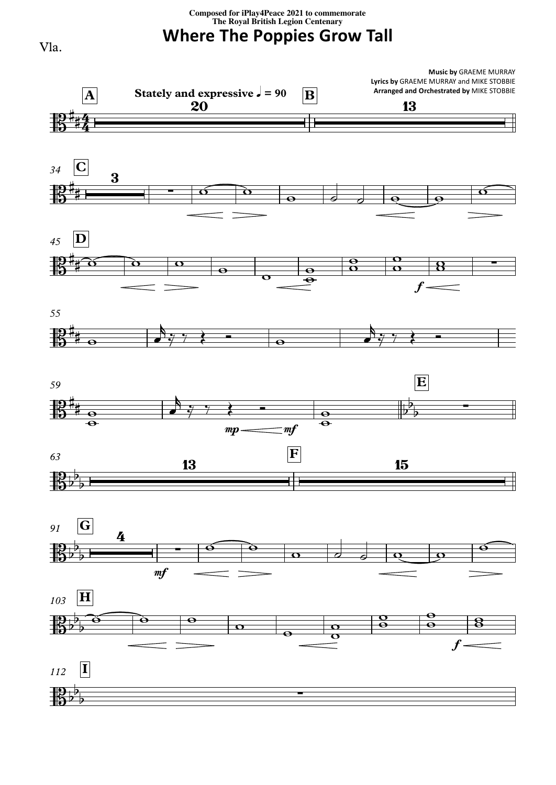## **Composed for iPlay4Peace <sup>2021</sup> to commemorate The Royal British Legion Centenary**

**Where The Poppies Grow Tall**



Vla.